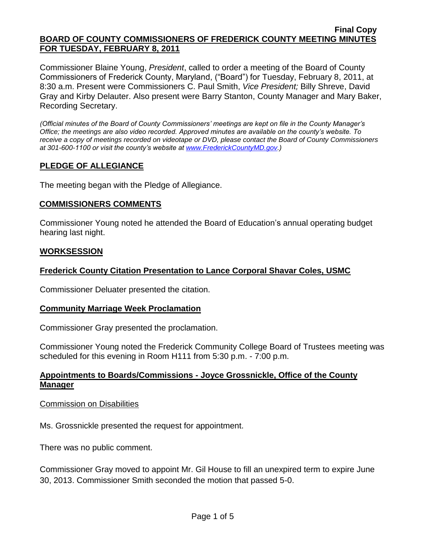Commissioner Blaine Young, *President*, called to order a meeting of the Board of County Commissioners of Frederick County, Maryland, ("Board") for Tuesday, February 8, 2011, at 8:30 a.m. Present were Commissioners C. Paul Smith, *Vice President;* Billy Shreve, David Gray and Kirby Delauter. Also present were Barry Stanton, County Manager and Mary Baker, Recording Secretary.

*(Official minutes of the Board of County Commissioners' meetings are kept on file in the County Manager's Office; the meetings are also video recorded. Approved minutes are available on the county's website. To receive a copy of meetings recorded on videotape or DVD, please contact the Board of County Commissioners at 301-600-1100 or visit the county's website at [www.FrederickCountyMD.gov.](http://www.frederickcountymd.gov/))*

# **PLEDGE OF ALLEGIANCE**

The meeting began with the Pledge of Allegiance.

### **COMMISSIONERS COMMENTS**

Commissioner Young noted he attended the Board of Education's annual operating budget hearing last night.

#### **WORKSESSION**

# **Frederick County Citation Presentation to Lance Corporal Shavar Coles, USMC**

Commissioner Deluater presented the citation.

### **Community Marriage Week Proclamation**

Commissioner Gray presented the proclamation.

Commissioner Young noted the Frederick Community College Board of Trustees meeting was scheduled for this evening in Room H111 from 5:30 p.m. - 7:00 p.m.

# **Appointments to Boards/Commissions - Joyce Grossnickle, Office of the County Manager**

### Commission on Disabilities

Ms. Grossnickle presented the request for appointment.

There was no public comment.

Commissioner Gray moved to appoint Mr. Gil House to fill an unexpired term to expire June 30, 2013. Commissioner Smith seconded the motion that passed 5-0.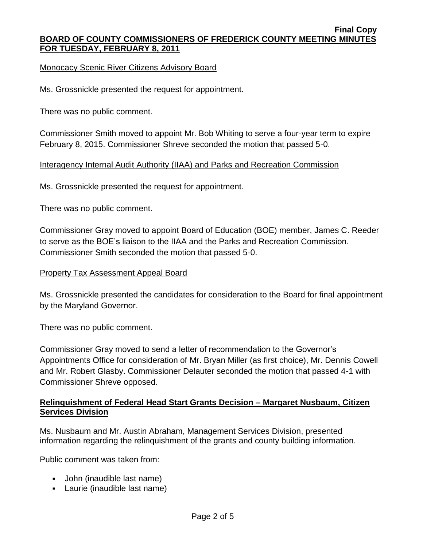Monocacy Scenic River Citizens Advisory Board

Ms. Grossnickle presented the request for appointment.

There was no public comment.

Commissioner Smith moved to appoint Mr. Bob Whiting to serve a four-year term to expire February 8, 2015. Commissioner Shreve seconded the motion that passed 5-0.

# Interagency Internal Audit Authority (IIAA) and Parks and Recreation Commission

Ms. Grossnickle presented the request for appointment.

There was no public comment.

Commissioner Gray moved to appoint Board of Education (BOE) member, James C. Reeder to serve as the BOE's liaison to the IIAA and the Parks and Recreation Commission. Commissioner Smith seconded the motion that passed 5-0.

### Property Tax Assessment Appeal Board

Ms. Grossnickle presented the candidates for consideration to the Board for final appointment by the Maryland Governor.

There was no public comment.

Commissioner Gray moved to send a letter of recommendation to the Governor's Appointments Office for consideration of Mr. Bryan Miller (as first choice), Mr. Dennis Cowell and Mr. Robert Glasby. Commissioner Delauter seconded the motion that passed 4-1 with Commissioner Shreve opposed.

# **Relinquishment of Federal Head Start Grants Decision – Margaret Nusbaum, Citizen Services Division**

Ms. Nusbaum and Mr. Austin Abraham, Management Services Division, presented information regarding the relinquishment of the grants and county building information.

Public comment was taken from:

- John (inaudible last name)
- Laurie (inaudible last name)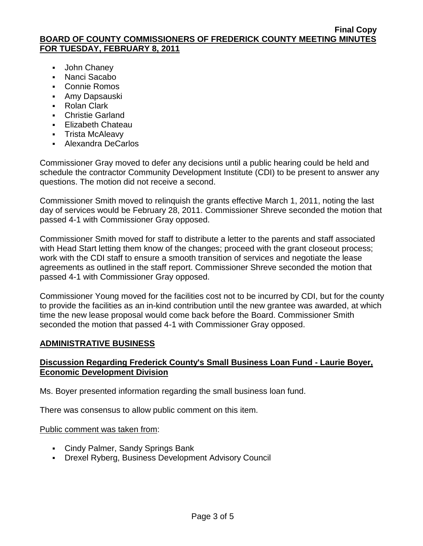- **John Chaney**
- Nanci Sacabo
- Connie Romos
- Amy Dapsauski
- Rolan Clark
- **Christie Garland**
- **Elizabeth Chateau**
- **Trista McAleavy**
- Alexandra DeCarlos

Commissioner Gray moved to defer any decisions until a public hearing could be held and schedule the contractor Community Development Institute (CDI) to be present to answer any questions. The motion did not receive a second.

Commissioner Smith moved to relinquish the grants effective March 1, 2011, noting the last day of services would be February 28, 2011. Commissioner Shreve seconded the motion that passed 4-1 with Commissioner Gray opposed.

Commissioner Smith moved for staff to distribute a letter to the parents and staff associated with Head Start letting them know of the changes; proceed with the grant closeout process; work with the CDI staff to ensure a smooth transition of services and negotiate the lease agreements as outlined in the staff report. Commissioner Shreve seconded the motion that passed 4-1 with Commissioner Gray opposed.

Commissioner Young moved for the facilities cost not to be incurred by CDI, but for the county to provide the facilities as an in-kind contribution until the new grantee was awarded, at which time the new lease proposal would come back before the Board. Commissioner Smith seconded the motion that passed 4-1 with Commissioner Gray opposed.

# **ADMINISTRATIVE BUSINESS**

# **Discussion Regarding Frederick County's Small Business Loan Fund - Laurie Boyer, Economic Development Division**

Ms. Boyer presented information regarding the small business loan fund.

There was consensus to allow public comment on this item.

# Public comment was taken from:

- Cindy Palmer, Sandy Springs Bank
- Drexel Ryberg, Business Development Advisory Council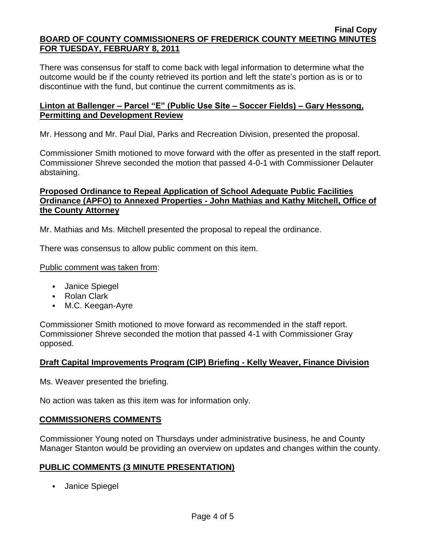There was consensus for staff to come back with legal information to determine what the outcome would be if the county retrieved its portion and left the state's portion as is or to discontinue with the fund, but continue the current commitments as is.

#### **Linton at Ballenger – Parcel "E" (Public Use Site – Soccer Fields) – Gary Hessong, Permitting and Development Review**

Mr. Hessong and Mr. Paul Dial, Parks and Recreation Division, presented the proposal.

Commissioner Smith motioned to move forward with the offer as presented in the staff report. Commissioner Shreve seconded the motion that passed 4-0-1 with Commissioner Delauter abstaining.

# **Proposed Ordinance to Repeal Application of School Adequate Public Facilities Ordinance (APFO) to Annexed Properties - John Mathias and Kathy Mitchell, Office of the County Attorney**

Mr. Mathias and Ms. Mitchell presented the proposal to repeal the ordinance.

There was consensus to allow public comment on this item.

#### Public comment was taken from:

- Janice Spiegel
- Rolan Clark
- M.C. Keegan-Ayre

Commissioner Smith motioned to move forward as recommended in the staff report. Commissioner Shreve seconded the motion that passed 4-1 with Commissioner Gray opposed.

### **Draft Capital Improvements Program (CIP) Briefing - Kelly Weaver, Finance Division**

Ms. Weaver presented the briefing.

No action was taken as this item was for information only.

#### **COMMISSIONERS COMMENTS**

Commissioner Young noted on Thursdays under administrative business, he and County Manager Stanton would be providing an overview on updates and changes within the county.

#### **PUBLIC COMMENTS (3 MINUTE PRESENTATION)**

**Janice Spiegel**